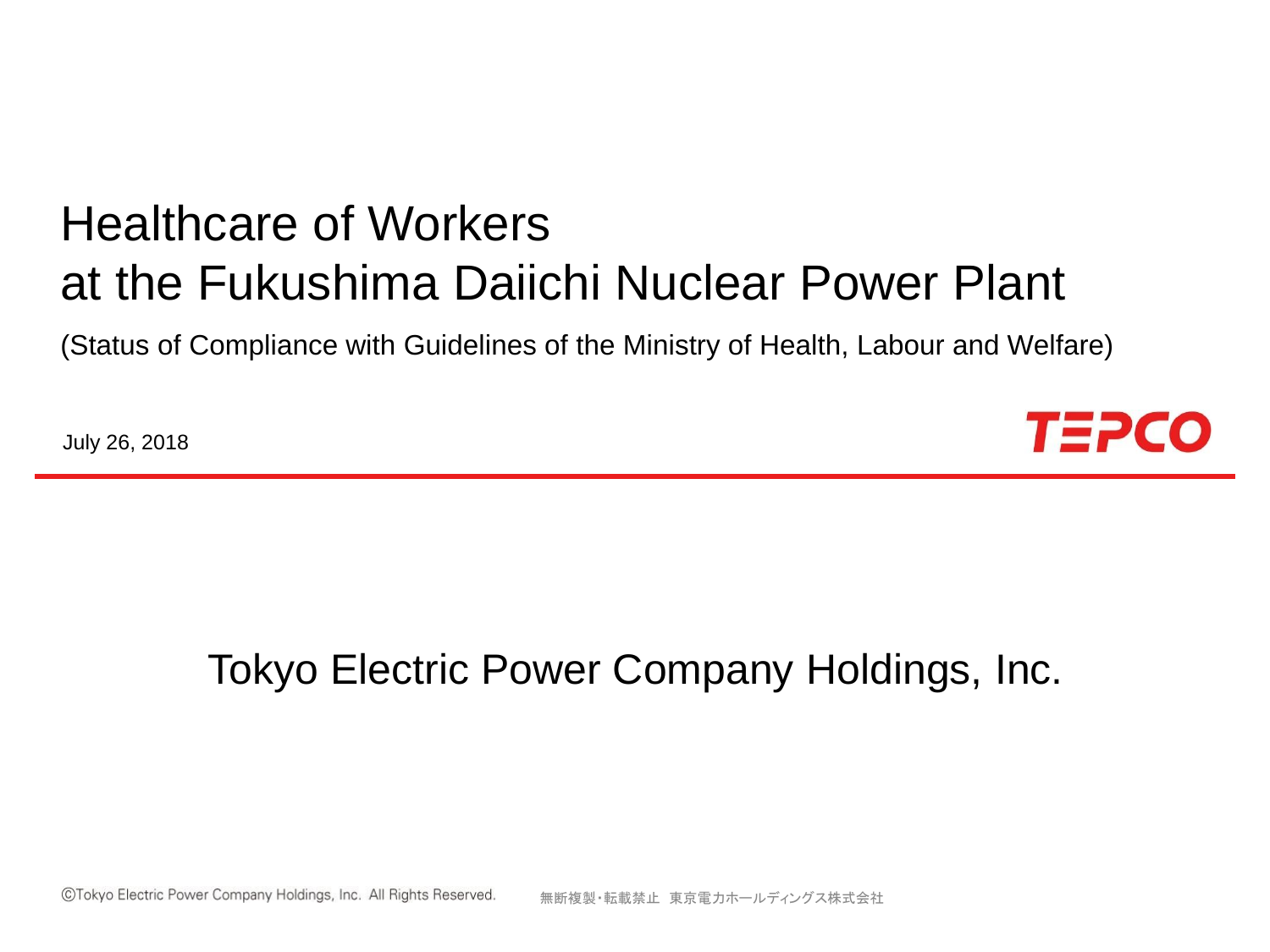# Healthcare of Workers at the Fukushima Daiichi Nuclear Power Plant

(Status of Compliance with Guidelines of the Ministry of Health, Labour and Welfare)

July 26, 2018



## Tokyo Electric Power Company Holdings, Inc.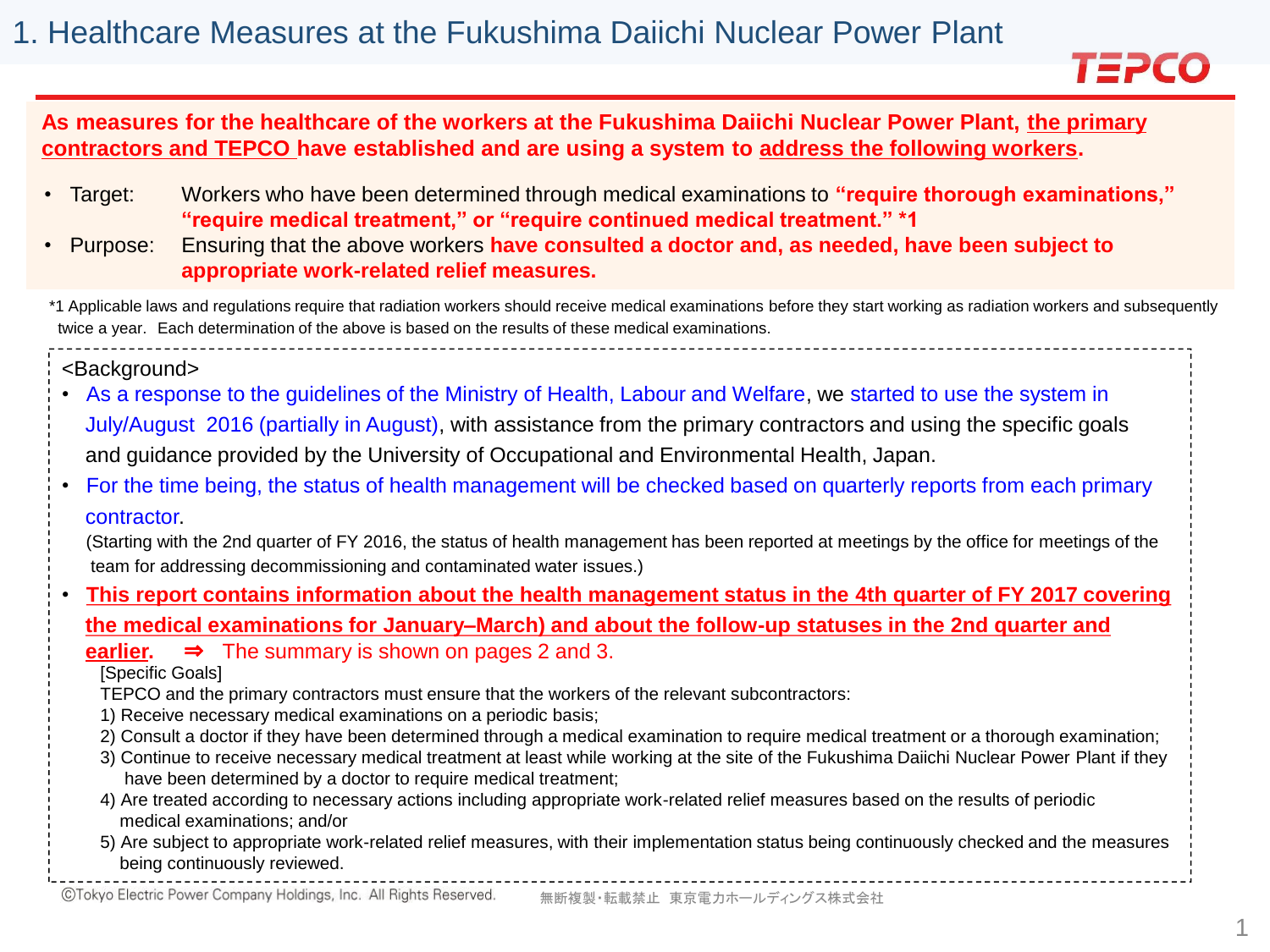

#### **As measures for the healthcare of the workers at the Fukushima Daiichi Nuclear Power Plant, the primary contractors and TEPCO have established and are using a system to address the following workers.**

- Target: Workers who have been determined through medical examinations to **"require thorough examinations," "require medical treatment," or "require continued medical treatment." \*1**
- Purpose: Ensuring that the above workers **have consulted a doctor and, as needed, have been subject to appropriate work-related relief measures.**

\*1 Applicable laws and regulations require that radiation workers should receive medical examinations before they start working as radiation workers and subsequently twice a year. Each determination of the above is based on the results of these medical examinations.

<Background>

- As a response to the guidelines of the Ministry of Health, Labour and Welfare, we started to use the system in July/August 2016 (partially in August), with assistance from the primary contractors and using the specific goals and guidance provided by the University of Occupational and Environmental Health, Japan.
- For the time being, the status of health management will be checked based on quarterly reports from each primary contractor.

(Starting with the 2nd quarter of FY 2016, the status of health management has been reported at meetings by the office for meetings of the team for addressing decommissioning and contaminated water issues.)

• **This report contains information about the health management status in the 4th quarter of FY 2017 covering**

**the medical examinations for January–March) and about the follow-up statuses in the 2nd quarter and**

**earlier.** ⇒ The summary is shown on pages 2 and 3.

[Specific Goals]

- TEPCO and the primary contractors must ensure that the workers of the relevant subcontractors:
- 1) Receive necessary medical examinations on a periodic basis;
- 2) Consult a doctor if they have been determined through a medical examination to require medical treatment or a thorough examination;
- 3) Continue to receive necessary medical treatment at least while working at the site of the Fukushima Daiichi Nuclear Power Plant if they have been determined by a doctor to require medical treatment;
- 4) Are treated according to necessary actions including appropriate work-related relief measures based on the results of periodic medical examinations; and/or
- 5) Are subject to appropriate work-related relief measures, with their implementation status being continuously checked and the measures being continuously reviewed.

©Tokyo Electric Power Company Holdings, Inc. All Rights Reserved. 無断複製・転載禁止 東京電力ホールディングス株式会社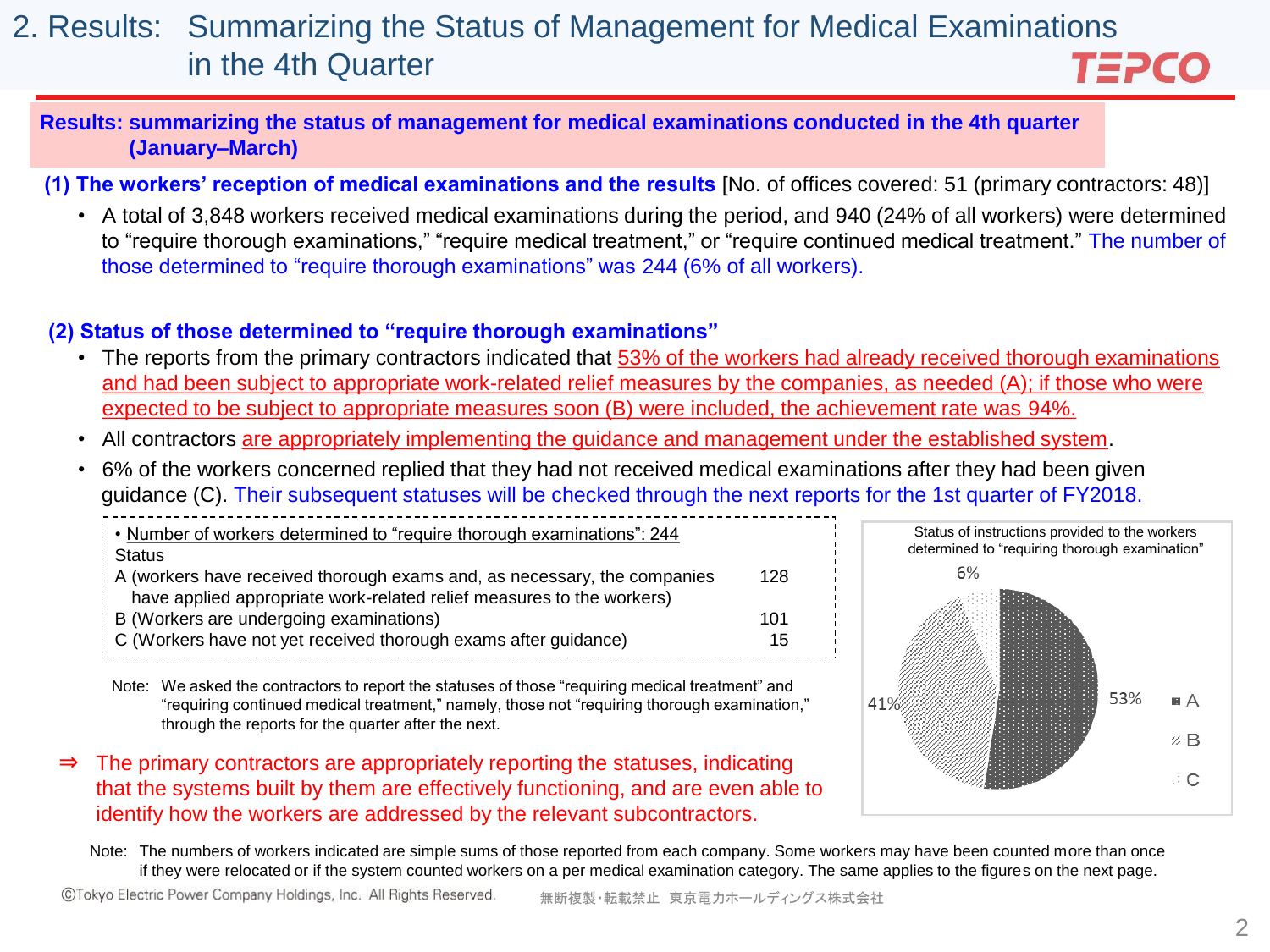#### 2. Results: Summarizing the Status of Management for Medical Examinations in the 4th Quarter TEPCO

#### **Results: summarizing the status of management for medical examinations conducted in the 4th quarter (January–March)**

**(1) The workers' reception of medical examinations and the results** [No. of offices covered: 51 (primary contractors: 48)]

• A total of 3,848 workers received medical examinations during the period, and 940 (24% of all workers) were determined to "require thorough examinations," "require medical treatment," or "require continued medical treatment." The number of those determined to "require thorough examinations" was 244 (6% of all workers).

#### **(2) Status of those determined to "require thorough examinations"**

- The reports from the primary contractors indicated that 53% of the workers had already received thorough examinations and had been subject to appropriate work-related relief measures by the companies, as needed (A); if those who were expected to be subject to appropriate measures soon (B) were included, the achievement rate was 94%.
- All contractors are appropriately implementing the guidance and management under the established system.
- 6% of the workers concerned replied that they had not received medical examinations after they had been given guidance (C). Their subsequent statuses will be checked through the next reports for the 1st quarter of FY2018.

| . Number of workers determined to "require thorough examinations": 244     |     |
|----------------------------------------------------------------------------|-----|
| i Status                                                                   |     |
| ! A (workers have received thorough exams and, as necessary, the companies | 128 |
| have applied appropriate work-related relief measures to the workers)      |     |
| B (Workers are undergoing examinations)                                    | 101 |
| C (Workers have not yet received thorough exams after guidance)            | 15  |
|                                                                            |     |

Note: We asked the contractors to report the statuses of those "requiring medical treatment" and "requiring continued medical treatment," namely, those not "requiring thorough examination," through the reports for the quarter after the next.

⇒ The primary contractors are appropriately reporting the statuses, indicating that the systems built by them are effectively functioning, and are even able to identify how the workers are addressed by the relevant subcontractors.



Note: The numbers of workers indicated are simple sums of those reported from each company. Some workers may have been counted more than once if they were relocated or if the system counted workers on a per medical examination category. The same applies to the figures on the next page.